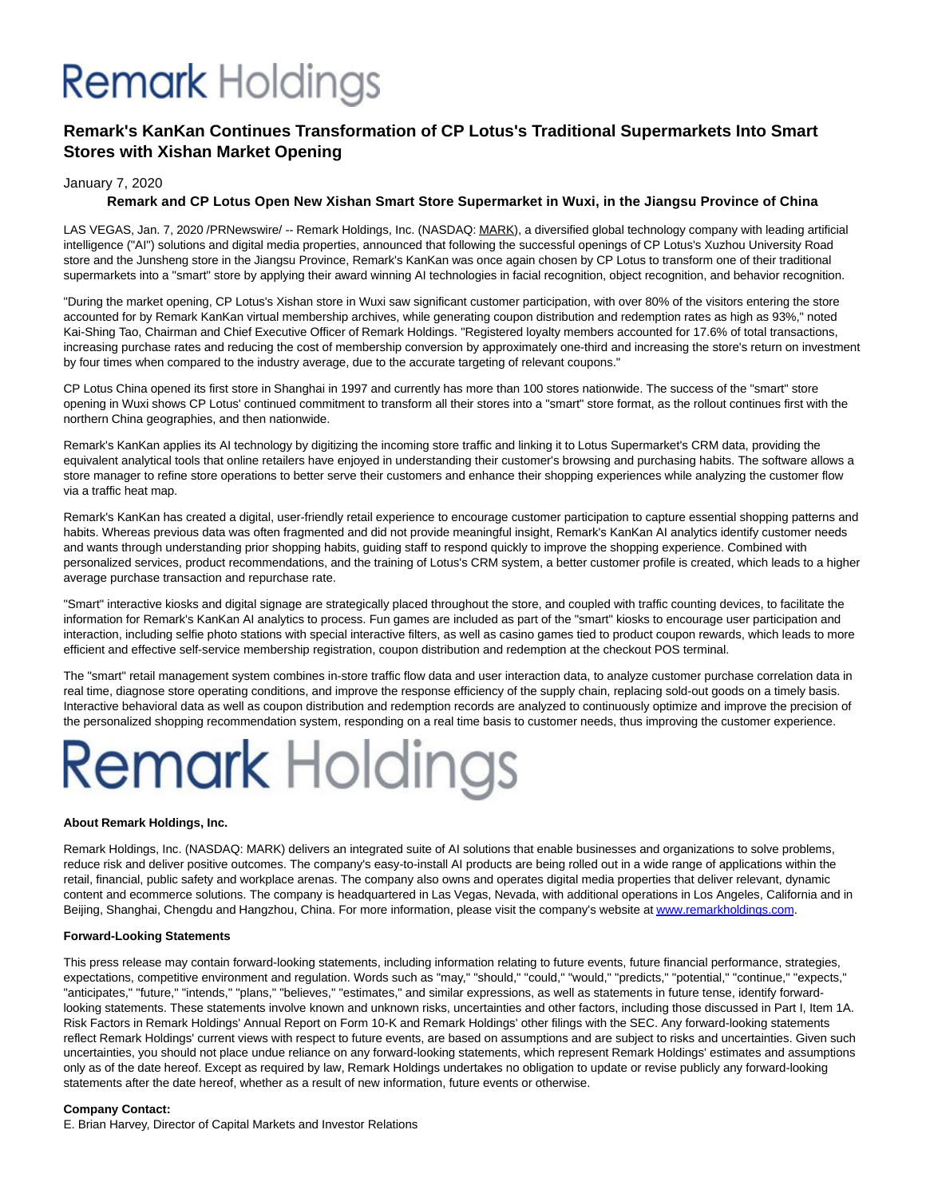## **Remark** Holdings

### **Remark's KanKan Continues Transformation of CP Lotus's Traditional Supermarkets Into Smart Stores with Xishan Market Opening**

### January 7, 2020

### **Remark and CP Lotus Open New Xishan Smart Store Supermarket in Wuxi, in the Jiangsu Province of China**

LAS VEGAS, Jan. 7, 2020 /PRNewswire/ -- Remark Holdings, Inc. (NASDAQ: MARK), a diversified global technology company with leading artificial intelligence ("AI") solutions and digital media properties, announced that following the successful openings of CP Lotus's Xuzhou University Road store and the Junsheng store in the Jiangsu Province, Remark's KanKan was once again chosen by CP Lotus to transform one of their traditional supermarkets into a "smart" store by applying their award winning AI technologies in facial recognition, object recognition, and behavior recognition.

"During the market opening, CP Lotus's Xishan store in Wuxi saw significant customer participation, with over 80% of the visitors entering the store accounted for by Remark KanKan virtual membership archives, while generating coupon distribution and redemption rates as high as 93%," noted Kai-Shing Tao, Chairman and Chief Executive Officer of Remark Holdings. "Registered loyalty members accounted for 17.6% of total transactions, increasing purchase rates and reducing the cost of membership conversion by approximately one-third and increasing the store's return on investment by four times when compared to the industry average, due to the accurate targeting of relevant coupons."

CP Lotus China opened its first store in Shanghai in 1997 and currently has more than 100 stores nationwide. The success of the "smart" store opening in Wuxi shows CP Lotus' continued commitment to transform all their stores into a "smart" store format, as the rollout continues first with the northern China geographies, and then nationwide.

Remark's KanKan applies its AI technology by digitizing the incoming store traffic and linking it to Lotus Supermarket's CRM data, providing the equivalent analytical tools that online retailers have enjoyed in understanding their customer's browsing and purchasing habits. The software allows a store manager to refine store operations to better serve their customers and enhance their shopping experiences while analyzing the customer flow via a traffic heat map.

Remark's KanKan has created a digital, user-friendly retail experience to encourage customer participation to capture essential shopping patterns and habits. Whereas previous data was often fragmented and did not provide meaningful insight, Remark's KanKan AI analytics identify customer needs and wants through understanding prior shopping habits, guiding staff to respond quickly to improve the shopping experience. Combined with personalized services, product recommendations, and the training of Lotus's CRM system, a better customer profile is created, which leads to a higher average purchase transaction and repurchase rate.

"Smart" interactive kiosks and digital signage are strategically placed throughout the store, and coupled with traffic counting devices, to facilitate the information for Remark's KanKan AI analytics to process. Fun games are included as part of the "smart" kiosks to encourage user participation and interaction, including selfie photo stations with special interactive filters, as well as casino games tied to product coupon rewards, which leads to more efficient and effective self-service membership registration, coupon distribution and redemption at the checkout POS terminal.

The "smart" retail management system combines in-store traffic flow data and user interaction data, to analyze customer purchase correlation data in real time, diagnose store operating conditions, and improve the response efficiency of the supply chain, replacing sold-out goods on a timely basis. Interactive behavioral data as well as coupon distribution and redemption records are analyzed to continuously optimize and improve the precision of the personalized shopping recommendation system, responding on a real time basis to customer needs, thus improving the customer experience.

# **Remark Holdings**

### **About Remark Holdings, Inc.**

Remark Holdings, Inc. (NASDAQ: MARK) delivers an integrated suite of AI solutions that enable businesses and organizations to solve problems, reduce risk and deliver positive outcomes. The company's easy-to-install AI products are being rolled out in a wide range of applications within the retail, financial, public safety and workplace arenas. The company also owns and operates digital media properties that deliver relevant, dynamic content and ecommerce solutions. The company is headquartered in Las Vegas, Nevada, with additional operations in Los Angeles, California and in Beijing, Shanghai, Chengdu and Hangzhou, China. For more information, please visit the company's website a[t www.remarkholdings.com.](https://c212.net/c/link/?t=0&l=en&o=2684076-1&h=2335713573&u=http%3A%2F%2Fwww.remarkholdings.com%2F&a=www.remarkholdings.com)

### **Forward-Looking Statements**

This press release may contain forward-looking statements, including information relating to future events, future financial performance, strategies, expectations, competitive environment and regulation. Words such as "may," "should," "could," "would," "predicts," "potential," "continue," "expects," "anticipates," "future," "intends," "plans," "believes," "estimates," and similar expressions, as well as statements in future tense, identify forwardlooking statements. These statements involve known and unknown risks, uncertainties and other factors, including those discussed in Part I, Item 1A. Risk Factors in Remark Holdings' Annual Report on Form 10-K and Remark Holdings' other filings with the SEC. Any forward-looking statements reflect Remark Holdings' current views with respect to future events, are based on assumptions and are subject to risks and uncertainties. Given such uncertainties, you should not place undue reliance on any forward-looking statements, which represent Remark Holdings' estimates and assumptions only as of the date hereof. Except as required by law, Remark Holdings undertakes no obligation to update or revise publicly any forward-looking statements after the date hereof, whether as a result of new information, future events or otherwise.

#### **Company Contact:**

E. Brian Harvey, Director of Capital Markets and Investor Relations